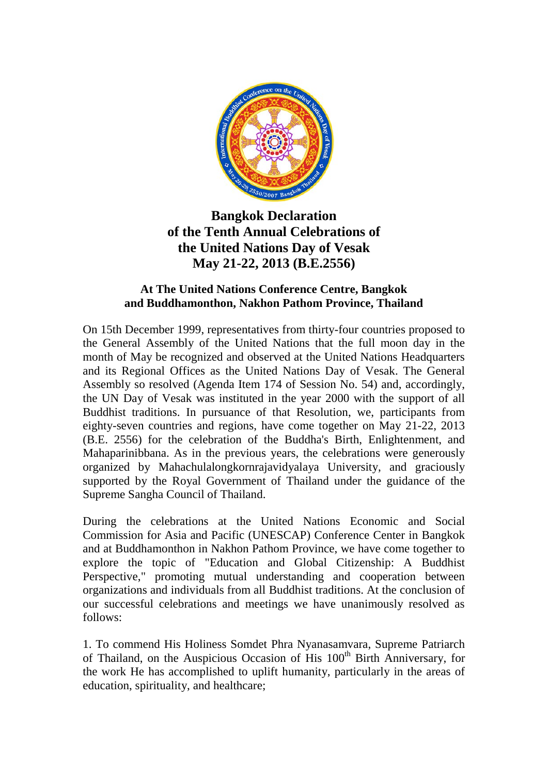

## **Bangkok Declaration of the Tenth Annual Celebrations of the United Nations Day of Vesak May 21-22, 2013 (B.E.2556)**

## **At The United Nations Conference Centre, Bangkok and Buddhamonthon, Nakhon Pathom Province, Thailand**

On 15th December 1999, representatives from thirty-four countries proposed to the General Assembly of the United Nations that the full moon day in the month of May be recognized and observed at the United Nations Headquarters and its Regional Offices as the United Nations Day of Vesak. The General Assembly so resolved (Agenda Item 174 of Session No. 54) and, accordingly, the UN Day of Vesak was instituted in the year 2000 with the support of all Buddhist traditions. In pursuance of that Resolution, we, participants from eighty-seven countries and regions, have come together on May 21-22, 2013 (B.E. 2556) for the celebration of the Buddha's Birth, Enlightenment, and Mahaparinibbana. As in the previous years, the celebrations were generously organized by Mahachulalongkornrajavidyalaya University, and graciously supported by the Royal Government of Thailand under the guidance of the Supreme Sangha Council of Thailand.

During the celebrations at the United Nations Economic and Social Commission for Asia and Pacific (UNESCAP) Conference Center in Bangkok and at Buddhamonthon in Nakhon Pathom Province, we have come together to explore the topic of "Education and Global Citizenship: A Buddhist Perspective," promoting mutual understanding and cooperation between organizations and individuals from all Buddhist traditions. At the conclusion of our successful celebrations and meetings we have unanimously resolved as follows:

1. To commend His Holiness Somdet Phra Nyanasamvara, Supreme Patriarch of Thailand, on the Auspicious Occasion of His 100<sup>th</sup> Birth Anniversary, for the work He has accomplished to uplift humanity, particularly in the areas of education, spirituality, and healthcare;